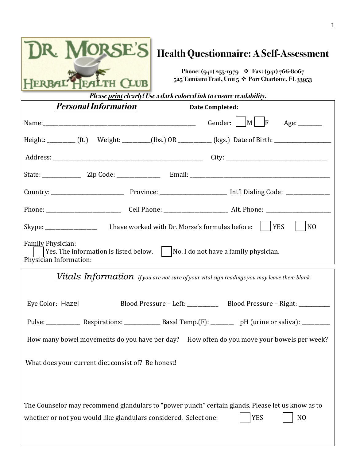

## **Health Questionnaire: A Self-Assessment**

**Phone: (941) 255-1979** v **Fax: (941) 766-8067 525 Tamiami Trail, Unit 5** v **Port Charlotte, FL 33953**

| --                                                                                                                                              | <i>Please print clearly! Use a dark colored ink to ensure readability.</i> |                                                                                                     |
|-------------------------------------------------------------------------------------------------------------------------------------------------|----------------------------------------------------------------------------|-----------------------------------------------------------------------------------------------------|
| <i>Personal Information</i>                                                                                                                     |                                                                            | <b>Date Completed:</b>                                                                              |
|                                                                                                                                                 |                                                                            | Gender:    M <br> F <br>Age: $\_\_\_\_\_\_\_\_\_\_\_\_\_\_\_$                                       |
|                                                                                                                                                 |                                                                            | Height: ________ (ft.) Weight: _______(lbs.) OR ________ (kgs.) Date of Birth: ____________________ |
|                                                                                                                                                 |                                                                            |                                                                                                     |
|                                                                                                                                                 |                                                                            |                                                                                                     |
|                                                                                                                                                 |                                                                            |                                                                                                     |
|                                                                                                                                                 |                                                                            |                                                                                                     |
|                                                                                                                                                 |                                                                            | N <sub>0</sub>                                                                                      |
| Family Physician:<br> Yes. The information is listed below. $\vert \cdot \vert$ No. I do not have a family physician.<br>Physician Information: |                                                                            |                                                                                                     |
| $Vital$ s $\emph{Information}$ if you are not sure of your vital sign readings you may leave them blank.                                        |                                                                            |                                                                                                     |

| Eye Color: Hazel                                                                                                                                                                                     |                                                                                           |  | Blood Pressure - Left: Blood Pressure - Right: |  |
|------------------------------------------------------------------------------------------------------------------------------------------------------------------------------------------------------|-------------------------------------------------------------------------------------------|--|------------------------------------------------|--|
|                                                                                                                                                                                                      |                                                                                           |  |                                                |  |
|                                                                                                                                                                                                      | How many bowel movements do you have per day? How often do you move your bowels per week? |  |                                                |  |
| What does your current diet consist of? Be honest!                                                                                                                                                   |                                                                                           |  |                                                |  |
| The Counselor may recommend glandulars to "power punch" certain glands. Please let us know as to<br><b>YES</b><br>N <sub>O</sub><br>whether or not you would like glandulars considered. Select one: |                                                                                           |  |                                                |  |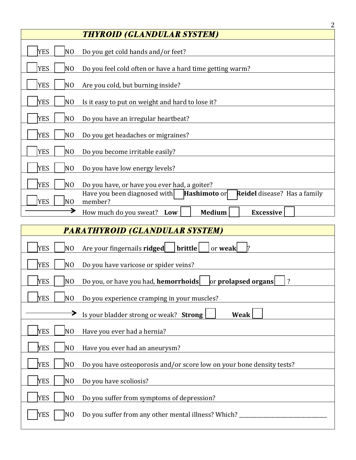|                                       | $\overline{2}$                                                                                 |
|---------------------------------------|------------------------------------------------------------------------------------------------|
|                                       | <b>THYROID (GLANDULAR SYSTEM)</b>                                                              |
| <b>YES</b><br>N <sub>O</sub>          |                                                                                                |
|                                       | Do you get cold hands and/or feet?                                                             |
| <b>YES</b><br>N <sub>O</sub>          | Do you feel cold often or have a hard time getting warm?                                       |
| <b>YES</b><br>N <sub>O</sub>          | Are you cold, but burning inside?                                                              |
| <b>YES</b><br>N <sub>O</sub>          | Is it easy to put on weight and hard to lose it?                                               |
| <b>YES</b><br>N <sub>O</sub>          | Do you have an irregular heartbeat?                                                            |
|                                       |                                                                                                |
| <b>YES</b><br>N <sub>O</sub>          | Do you get headaches or migraines?                                                             |
| <b>YES</b><br>N <sub>O</sub>          | Do you become irritable easily?                                                                |
| <b>YES</b><br>N <sub>O</sub>          | Do you have low energy levels?                                                                 |
| <b>YES</b><br>N <sub>O</sub>          |                                                                                                |
|                                       | Do you have, or have you ever had, a goiter?                                                   |
| <b>YES</b><br>N <sub>O</sub>          | Have you been diagnosed with<br>Hashimoto or<br><b>Reidel</b> disease? Has a family<br>member? |
| →                                     | <b>Medium</b><br>How much do you sweat? Low<br><b>Excessive</b>                                |
|                                       |                                                                                                |
| <b>PARATHYROID (GLANDULAR SYSTEM)</b> |                                                                                                |
| <b>YES</b><br>N <sub>O</sub>          | brittle<br>Are your fingernails ridged<br>or weak<br>1?                                        |

| <b>YES</b><br>Do you have varicose or spider veins?<br>NO.                                                    |
|---------------------------------------------------------------------------------------------------------------|
| or prolapsed organs<br><b>YES</b><br>Do you, or have you had, <b>hemorrhoids</b><br>$\overline{\cdot}$<br>NO. |
| <b>YES</b><br>Do you experience cramping in your muscles?<br>NO.                                              |
| Is your bladder strong or weak? Strong<br><b>Weak</b>                                                         |
| <b>YES</b><br>Have you ever had a hernia?<br>N0                                                               |
| <b>YES</b><br>N <sub>O</sub><br>Have you ever had an aneurysm?                                                |
| <b>YES</b><br>N0<br>Do you have osteoporosis and/or score low on your bone density tests?                     |
| <b>YES</b><br>N <sub>O</sub><br>Do you have scoliosis?                                                        |
| <b>YES</b><br>N <sub>0</sub><br>Do you suffer from symptoms of depression?                                    |
| <b>YES</b><br>Do you suffer from any other mental illness? Which?<br>N <sub>O</sub>                           |
|                                                                                                               |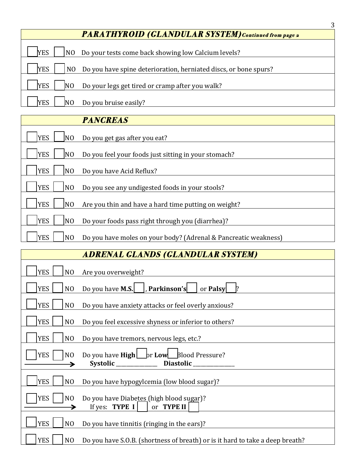| <b>PARATHYROID (GLANDULAR SYSTEM)</b> Continued from page 2                                      |  |
|--------------------------------------------------------------------------------------------------|--|
| Do your tests come back showing low Calcium levels?<br><b>YES</b><br>N <sub>0</sub>              |  |
| Do you have spine deterioration, herniated discs, or bone spurs?<br><b>YES</b><br>N <sub>O</sub> |  |
| Do your legs get tired or cramp after you walk?<br><b>YES</b><br>NO                              |  |
| Do you bruise easily?<br><b>YES</b>                                                              |  |
|                                                                                                  |  |

3

|            |                | <b>PANCREAS</b>                                                 |
|------------|----------------|-----------------------------------------------------------------|
| <b>YES</b> | N <sub>0</sub> | Do you get gas after you eat?                                   |
| <b>YES</b> | N <sub>0</sub> | Do you feel your foods just sitting in your stomach?            |
| <b>YES</b> | N <sub>O</sub> | Do you have Acid Reflux?                                        |
| <b>YES</b> | N <sub>O</sub> | Do you see any undigested foods in your stools?                 |
| <b>YES</b> | N <sub>O</sub> | Are you thin and have a hard time putting on weight?            |
| <b>YES</b> | N <sub>O</sub> | Do your foods pass right through you (diarrhea)?                |
| <b>YES</b> | N <sub>O</sub> | Do you have moles on your body? (Adrenal & Pancreatic weakness) |

## **ADRENAL GLANDS (GLANDULAR SYSTEM)**

| <b>YES</b><br>N <sub>O</sub>      | Are you overweight?                                                                     |
|-----------------------------------|-----------------------------------------------------------------------------------------|
| <b>YES</b><br>N <sub>O</sub>      | Do you have <b>M.S.</b> $\vert$ , <b>Parkinson's</b><br>or Palsy                        |
| <b>YES</b><br>NO.                 | Do you have anxiety attacks or feel overly anxious?                                     |
| <b>YES</b><br>N <sub>O</sub>      | Do you feel excessive shyness or inferior to others?                                    |
| <b>YES</b><br>NO                  | Do you have tremors, nervous legs, etc.?                                                |
| <b>YES</b><br>N <sub>O</sub>      | Do you have <b>High</b> or Low Blood Pressure?<br>Systolic _____________ Diastolic ____ |
| <b>YES</b><br>NO.                 | Do you have hypogylcemia (low blood sugar)?                                             |
| <b>YES</b><br>N <sub>O</sub><br>→ | Do you have Diabetes (high blood sugar)?<br>If yes: <b>TYPE I</b><br>or TYPE II         |
| <b>YES</b><br>N <sub>O</sub>      | Do you have tinnitis (ringing in the ears)?                                             |
| <b>YES</b><br>NO                  | Do you have S.O.B. (shortness of breath) or is it hard to take a deep breath?           |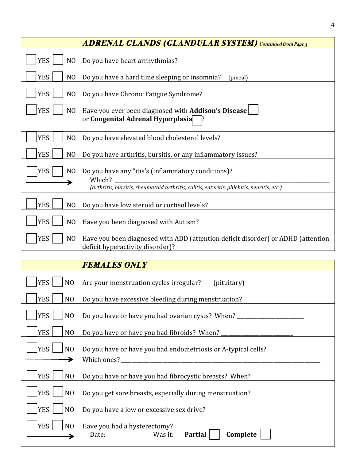|                              | <b>ADRENAL GLANDS (GLANDULAR SYSTEM)</b> Continued from Page 3                                                       |
|------------------------------|----------------------------------------------------------------------------------------------------------------------|
| <b>YES</b><br>NO.            | Do you have heart arrhythmias?                                                                                       |
| <b>YES</b><br>NO             | Do you have a hard time sleeping or insomnia?<br>(pineal)                                                            |
| <b>YES</b><br>NO.            | Do you have Chronic Fatigue Syndrome?                                                                                |
| <b>YES</b><br>N <sub>O</sub> | Have you ever been diagnosed with Addison's Disease                                                                  |
|                              | or Congenital Adrenal Hyperplasia                                                                                    |
| <b>YES</b><br>NO.            | Do you have elevated blood cholesterol levels?                                                                       |
| <b>YES</b><br>N <sub>O</sub> | Do you have arthritis, bursitis, or any inflammatory issues?                                                         |
| <b>YES</b><br>N <sub>O</sub> | Do you have any "itis's (inflammatory conditions)?<br>Which?                                                         |
|                              | (arthritis, bursitis, rheumatoid arthritis, colitis, enteritis, phlebitis, neuritis, etc.)                           |
| <b>YES</b><br>N <sub>O</sub> | Do you have low steroid or cortisol levels?                                                                          |
| <b>YES</b><br>N <sub>O</sub> | Have you been diagnosed with Autism?                                                                                 |
| <b>YES</b><br>N <sub>O</sub> | Have you been diagnosed with ADD (attention deficit disorder) or ADHD (attention<br>deficit hyperactivity disorder)? |

|                              | <b>FEMALES ONLY</b>                                                            |  |
|------------------------------|--------------------------------------------------------------------------------|--|
| <b>YES</b><br>N <sub>O</sub> | Are your menstruation cycles irregular?<br>(pituitary)                         |  |
| <b>YES</b><br>N <sub>O</sub> | Do you have excessive bleeding during menstruation?                            |  |
| <b>YES</b><br>N <sub>O</sub> | Do you have or have you had ovarian cysts? When? __                            |  |
| <b>YES</b><br>N <sub>O</sub> | Do you have or have you had fibroids? When?                                    |  |
| <b>YES</b><br>N <sub>O</sub> | Do you have or have you had endometriosis or A-typical cells?                  |  |
|                              | Which ones?                                                                    |  |
| <b>YES</b><br>N <sub>O</sub> | Do you have or have you had fibrocystic breasts? When?                         |  |
| <b>YES</b><br>N <sub>O</sub> | Do you get sore breasts, especially during menstruation?                       |  |
| <b>YES</b><br>N <sub>O</sub> | Do you have a low or excessive sex drive?                                      |  |
| <b>YES</b><br>N <sub>O</sub> | Have you had a hysterectomy?<br>Complete<br>Was it:<br><b>Partial</b><br>Date: |  |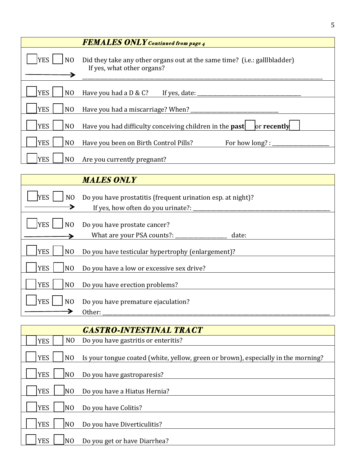|                              | <b>FEMALES ONLY</b> Continued from page 4                                                                           |
|------------------------------|---------------------------------------------------------------------------------------------------------------------|
| <b>YES</b><br>N <sub>O</sub> | Did they take any other organs out at the same time? (i.e.: gallibladder)<br>If yes, what other organs?             |
| <b>YES</b><br>N <sub>O</sub> | Have you had a $D \& C?$ If yes, date:                                                                              |
| <b>YES</b><br>N <sub>O</sub> | Have you had a miscarriage? When? ___________                                                                       |
| <b>YES</b><br>N <sub>O</sub> | Have you had difficulty conceiving children in the <b>past</b><br>or recently                                       |
| <b>YES</b><br>N <sub>O</sub> | Have you been on Birth Control Pills?<br>For how long? : $\sqrt{\frac{1}{1-\frac{1}{2}} + \frac{1}{2-\frac{1}{2}}}$ |
| <b>YES</b><br>N <sub>O</sub> | Are you currently pregnant?                                                                                         |

5

|                              | <b>MALES ONLY</b>                                                                                   |
|------------------------------|-----------------------------------------------------------------------------------------------------|
| <b>YES</b><br>N <sub>O</sub> | Do you have prostatitis (frequent urination esp. at night)?<br>If yes, how often do you urinate?: _ |
| <b>YES</b><br>N <sub>O</sub> | Do you have prostate cancer?<br>What are your PSA counts?: ______<br>date:                          |
| <b>YES</b><br>N <sub>O</sub> | Do you have testicular hypertrophy (enlargement)?                                                   |
| <b>YES</b><br>N <sub>O</sub> | Do you have a low or excessive sex drive?                                                           |
| <b>YES</b><br>N <sub>O</sub> | Do you have erection problems?                                                                      |
| <b>YES</b><br>N <sub>O</sub> | Do you have premature ejaculation?<br>Other:                                                        |

|            |                | <b>GASTRO-INTESTINAL TRACT</b>                                                    |
|------------|----------------|-----------------------------------------------------------------------------------|
| <b>YES</b> | N <sub>O</sub> | Do you have gastritis or enteritis?                                               |
| <b>YES</b> | N <sub>O</sub> | Is your tongue coated (white, yellow, green or brown), especially in the morning? |
| <b>YES</b> | N <sub>O</sub> | Do you have gastroparesis?                                                        |
| <b>YES</b> | N <sub>0</sub> | Do you have a Hiatus Hernia?                                                      |
| <b>YES</b> | N <sub>O</sub> | Do you have Colitis?                                                              |
| <b>YES</b> | N <sub>O</sub> | Do you have Diverticulitis?                                                       |
| <b>YES</b> | N <sub>O</sub> | Do you get or have Diarrhea?                                                      |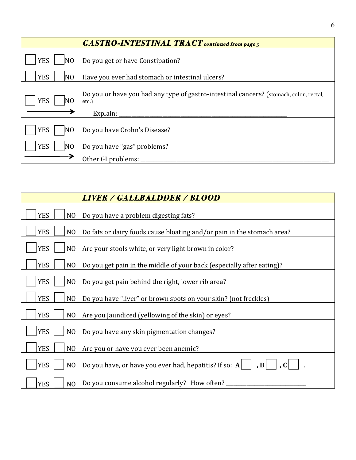|                               | <b>GASTRO-INTESTINAL TRACT</b> continued from page 5                                            |
|-------------------------------|-------------------------------------------------------------------------------------------------|
| <b>YES</b><br>N <sub>0</sub>  | Do you get or have Constipation?                                                                |
| <b>YES</b><br>N <sub>0</sub>  | Have you ever had stomach or intestinal ulcers?                                                 |
| <b>YES</b>                    | Do you or have you had any type of gastro-intestinal cancers? (stomach, colon, rectal,<br>etc.) |
|                               | Explain:                                                                                        |
| <b>YES</b><br>INO             | Do you have Crohn's Disease?                                                                    |
| <b>YES</b><br>IN <sub>O</sub> | Do you have "gas" problems?                                                                     |
|                               | Other GI problems:                                                                              |

| <b>LIVER / GALLBALDDER / BLOOD</b>                                                                     |
|--------------------------------------------------------------------------------------------------------|
| <b>YES</b><br>NO<br>Do you have a problem digesting fats?                                              |
| <b>YES</b><br>Do fats or dairy foods cause bloating and/or pain in the stomach area?<br>N <sub>O</sub> |
| <b>YES</b><br>N <sub>O</sub><br>Are your stools white, or very light brown in color?                   |
| <b>YES</b><br>N <sub>O</sub><br>Do you get pain in the middle of your back (especially after eating)?  |
| <b>YES</b><br>N <sub>O</sub><br>Do you get pain behind the right, lower rib area?                      |
| <b>YES</b><br>N <sub>O</sub><br>Do you have "liver" or brown spots on your skin? (not freckles)        |
| <b>YES</b><br>N <sub>O</sub><br>Are you Jaundiced (yellowing of the skin) or eyes?                     |
| <b>YES</b><br>N <sub>O</sub><br>Do you have any skin pigmentation changes?                             |
| <b>YES</b><br>Are you or have you ever been anemic?<br>N <sub>O</sub>                                  |
| <b>YES</b><br>Do you have, or have you ever had, hepatitis? If so: A<br>, B<br>N <sub>O</sub>          |
| Do you consume alcohol regularly? How often?<br><b>YES</b><br>N <sub>O</sub>                           |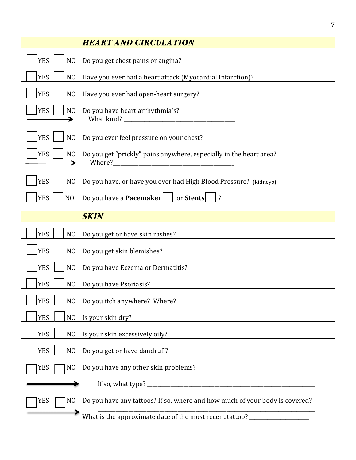| <b>HEART AND CIRCULATION</b>                                                                                 |
|--------------------------------------------------------------------------------------------------------------|
| <b>YES</b><br>Do you get chest pains or angina?<br>NO.                                                       |
| <b>YES</b><br>Have you ever had a heart attack (Myocardial Infarction)?<br>N <sub>O</sub>                    |
| <b>YES</b><br>Have you ever had open-heart surgery?<br>NO                                                    |
| YES  <br>N <sub>O</sub><br>Do you have heart arrhythmia's?<br>What kind?                                     |
| <b>YES</b><br>NO<br>Do you ever feel pressure on your chest?                                                 |
| <b>YES</b><br>Do you get "prickly" pains anywhere, especially in the heart area?<br>N <sub>O</sub><br>Where? |
| <b>YES</b><br>Do you have, or have you ever had High Blood Pressure? (kidneys)<br>N <sub>O</sub>             |
| Do you have a <b>Pacemaker</b><br><b>YES</b><br>NO<br>or Stents                                              |

| <b>SKIN</b>                                                                                     |
|-------------------------------------------------------------------------------------------------|
| <b>YES</b><br>Do you get or have skin rashes?<br>NO                                             |
| <b>YES</b><br>Do you get skin blemishes?<br>NO                                                  |
| <b>YES</b><br>N <sub>O</sub><br>Do you have Eczema or Dermatitis?                               |
| <b>YES</b><br>NO<br>Do you have Psoriasis?                                                      |
| <b>YES</b><br>N <sub>O</sub><br>Do you itch anywhere? Where?                                    |
| <b>YES</b><br>NO Is your skin dry?                                                              |
| <b>YES</b><br>Is your skin excessively oily?<br>NO                                              |
| <b>YES</b><br>Do you get or have dandruff?<br>N <sub>O</sub>                                    |
| <b>YES</b><br>Do you have any other skin problems?<br>N <sub>O</sub>                            |
| If so, what type? ____________                                                                  |
| Do you have any tattoos? If so, where and how much of your body is covered?<br><b>YES</b><br>NO |
| What is the approximate date of the most recent tattoo?                                         |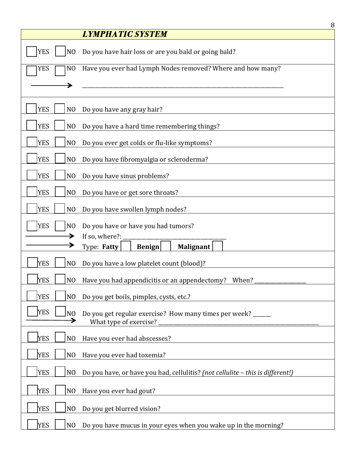|                                   | 8<br><i><b>LYMPHATIC SYSTEM</b></i>                                                   |
|-----------------------------------|---------------------------------------------------------------------------------------|
|                                   |                                                                                       |
| <b>YES</b><br>N <sub>O</sub>      | Do you have hair loss or are you bald or going bald?                                  |
| <b>YES</b><br>N <sub>O</sub>      | Have you ever had Lymph Nodes removed? Where and how many?                            |
|                                   |                                                                                       |
| <b>YES</b><br>N <sub>O</sub>      | Do you have any gray hair?                                                            |
| <b>YES</b><br>N <sub>O</sub>      | Do you have a hard time remembering things?                                           |
| <b>YES</b><br>N <sub>O</sub>      | Do you ever get colds or flu-like symptoms?                                           |
| <b>YES</b><br>N <sub>O</sub>      | Do you have fibromyalgia or scleroderma?                                              |
| <b>YES</b><br>N <sub>O</sub>      | Do you have sinus problems?                                                           |
| <b>YES</b><br>N <sub>O</sub>      | Do you have or get sore throats?                                                      |
| <b>YES</b><br>N <sub>O</sub>      | Do you have swollen lymph nodes?                                                      |
| <b>YES</b><br>N <sub>O</sub>      | Do you have or have you had tumors?                                                   |
|                                   | If so, where?:                                                                        |
|                                   | Type: Fatty<br>Malignant<br><b>Benign</b>                                             |
| <b>YES</b><br>N <sub>O</sub>      | Do you have a low platelet count (blood)?                                             |
| <b>YES</b>                        | NO Have you had appendicitis or an appendectomy? When?                                |
| <b>YES</b><br>N <sub>O</sub>      | Do you get boils, pimples, cysts, etc.?                                               |
| <b>YES</b><br>N <sub>O</sub><br>≯ | Do you get regular exercise? How many times per week? _____<br>What type of exercise? |
| <b>YES</b><br>N <sub>O</sub>      | Have you ever had abscesses?                                                          |
| <b>YES</b><br>N <sub>O</sub>      | Have you ever had toxemia?                                                            |
| <b>YES</b><br>N <sub>O</sub>      | Do you have, or have you had, cellulitis? (not cellulite - this is different!)        |
| <b>YES</b><br>N <sub>O</sub>      | Have you ever had gout?                                                               |
| <b>YES</b><br>N <sub>O</sub>      | Do you get blurred vision?                                                            |
| <b>YES</b><br>N <sub>O</sub>      | Do you have mucus in your eyes when you wake up in the morning?                       |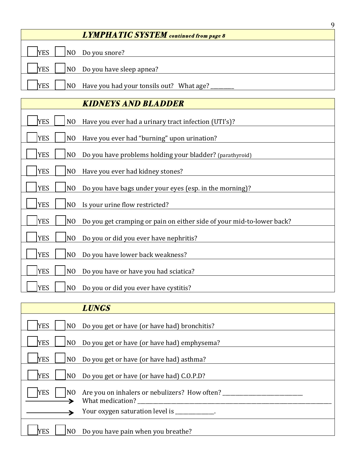|                                                                          | q |
|--------------------------------------------------------------------------|---|
| <b>LYMPHATIC SYSTEM</b> continued from page 8                            |   |
| Do you snore?<br><b>YES</b><br> NO                                       |   |
| $\sqrt{NO}$ Do you have sleep apnea?<br><b>YES</b>                       |   |
| Have you had your tonsils out? What age?<br><b>YES</b><br>N <sub>0</sub> |   |
|                                                                          |   |

| <b>KIDNEYS AND BLADDER</b>                                                                            |
|-------------------------------------------------------------------------------------------------------|
| <b>YES</b><br>Have you ever had a urinary tract infection (UTI's)?<br>NO.                             |
| <b>YES</b><br>N <sub>O</sub><br>Have you ever had "burning" upon urination?                           |
| <b>YES</b><br>N <sub>O</sub><br>Do you have problems holding your bladder? (parathyroid)              |
| <b>YES</b><br>Have you ever had kidney stones?<br>N <sub>O</sub>                                      |
| <b>YES</b><br>N <sub>O</sub><br>Do you have bags under your eyes (esp. in the morning)?               |
| <b>YES</b><br>Is your urine flow restricted?<br>NO.                                                   |
| <b>YES</b><br>N <sub>O</sub><br>Do you get cramping or pain on either side of your mid-to-lower back? |
| <b>YES</b><br>NO.<br>Do you or did you ever have nephritis?                                           |
| <b>YES</b><br>Do you have lower back weakness?<br>N <sub>O</sub>                                      |
| <b>YES</b><br>N <sub>O</sub><br>Do you have or have you had sciatica?                                 |
| <b>YES</b><br>NO<br>Do you or did you ever have cystitis?                                             |

|                              | <b>LUNGS</b>                                                      |
|------------------------------|-------------------------------------------------------------------|
| <b>YES</b><br>NO             | Do you get or have (or have had) bronchitis?                      |
| <b>YES</b><br>NO.            | Do you get or have (or have had) emphysema?                       |
| <b>YES</b><br>NO             | Do you get or have (or have had) asthma?                          |
| <b>YES</b><br>N <sub>O</sub> | Do you get or have (or have had) C.O.P.D?                         |
| <b>YES</b><br>NO.            | Are you on inhalers or nebulizers? How often?<br>What medication? |
|                              | Your oxygen saturation level is ____________.                     |
| <b>YES</b>                   | NO Do you have pain when you breathe?                             |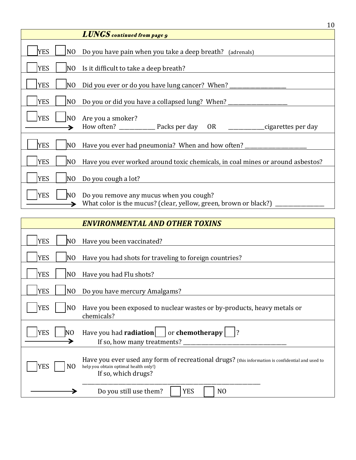|                              | ΙV                                                                                                               |
|------------------------------|------------------------------------------------------------------------------------------------------------------|
|                              | <b>LUNGS</b> continued from page 9                                                                               |
| <b>YES</b><br>N <sub>O</sub> | Do you have pain when you take a deep breath? (adrenals)                                                         |
| <b>YES</b>                   | NO Is it difficult to take a deep breath?                                                                        |
| <b>YES</b><br>N <sub>O</sub> |                                                                                                                  |
| <b>YES</b><br>NO.            | Do you or did you have a collapsed lung? When? _________________________________                                 |
| <b>YES</b><br>N <sub>0</sub> | Are you a smoker?<br>How often? _________________ Packs per day OR ________________cigarettes per day            |
| <b>YES</b><br>NO             | Have you ever had pneumonia? When and how often?                                                                 |
| <b>YES</b><br>N <sub>O</sub> | Have you ever worked around toxic chemicals, in coal mines or around asbestos?                                   |
| <b>YES</b><br>N <sub>O</sub> | Do you cough a lot?                                                                                              |
| <b>YES</b><br>N <sub>O</sub> | Do you remove any mucus when you cough?<br>What color is the mucus? (clear, yellow, green, brown or black?) ____ |

|                              | <b>ENVIRONMENTAL AND OTHER TOXINS</b>                                                                                                                            |
|------------------------------|------------------------------------------------------------------------------------------------------------------------------------------------------------------|
| <b>YES</b><br>NO.            | Have you been vaccinated?                                                                                                                                        |
| <b>YES</b><br>N <sub>O</sub> | Have you had shots for traveling to foreign countries?                                                                                                           |
| <b>YES</b><br>N <sub>0</sub> | Have you had Flu shots?                                                                                                                                          |
| <b>YES</b><br>N <sub>O</sub> | Do you have mercury Amalgams?                                                                                                                                    |
| <b>YES</b><br>N <sub>O</sub> | Have you been exposed to nuclear wastes or by-products, heavy metals or<br>chemicals?                                                                            |
| <b>YES</b><br>NΟ             | Have you had <b>radiation</b> $\vert$ or <b>chemotherapy</b><br>If so, how many treatments?                                                                      |
| <b>YES</b><br>NO.            | Have you ever used any form of recreational drugs? (this information is confidential and used to<br>help you obtain optimal health only!)<br>If so, which drugs? |
|                              | Do you still use them?<br><b>YES</b><br>N <sub>O</sub>                                                                                                           |

10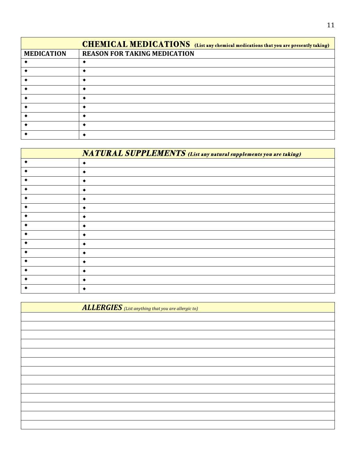|                   | <b>CHEMICAL MEDICATIONS</b> (List any chemical medications that you are presently taking) |
|-------------------|-------------------------------------------------------------------------------------------|
| <b>MEDICATION</b> | <b>REASON FOR TAKING MEDICATION</b>                                                       |
|                   |                                                                                           |
|                   |                                                                                           |
|                   |                                                                                           |
|                   |                                                                                           |
|                   |                                                                                           |
|                   |                                                                                           |
|                   |                                                                                           |
|                   |                                                                                           |
|                   |                                                                                           |

|   | <b>NATURAL SUPPLEMENTS</b> (List any natural supplements you are taking) |
|---|--------------------------------------------------------------------------|
|   |                                                                          |
|   |                                                                          |
| ٠ |                                                                          |
|   |                                                                          |
|   |                                                                          |
| ∢ |                                                                          |
|   |                                                                          |
|   |                                                                          |
| ∢ |                                                                          |
|   |                                                                          |
|   |                                                                          |
|   |                                                                          |
| ∢ |                                                                          |
|   |                                                                          |
|   |                                                                          |

| <b>ALLERGIES</b> (List anything that you are allergic to) |  |
|-----------------------------------------------------------|--|
|                                                           |  |
|                                                           |  |
|                                                           |  |
|                                                           |  |
|                                                           |  |
|                                                           |  |
|                                                           |  |
|                                                           |  |
|                                                           |  |
|                                                           |  |
|                                                           |  |
|                                                           |  |
|                                                           |  |